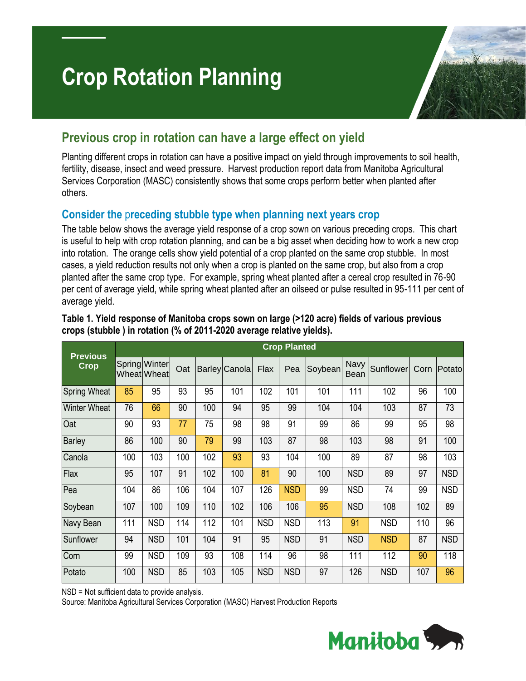# **Crop Rotation Planning**



## **Previous crop in rotation can have a large effect on yield**

Planting different crops in rotation can have a positive impact on yield through improvements to soil health, fertility, disease, insect and weed pressure. Harvest production report data from Manitoba Agricultural Services Corporation (MASC) consistently shows that some crops perform better when planted after others.

## **Consider the** p**receding stubble type when planning next years crop**

The table below shows the average yield response of a crop sown on various preceding crops. This chart is useful to help with crop rotation planning, and can be a big asset when deciding how to work a new crop into rotation. The orange cells show yield potential of a crop planted on the same crop stubble. In most cases, a yield reduction results not only when a crop is planted on the same crop, but also from a crop planted after the same crop type. For example, spring wheat planted after a cereal crop resulted in 76-90 per cent of average yield, while spring wheat planted after an oilseed or pulse resulted in 95-111 per cent of average yield.

| <b>Previous</b><br><b>Crop</b> | <b>Crop Planted</b> |                              |     |     |                      |            |            |         |              |            |      |            |
|--------------------------------|---------------------|------------------------------|-----|-----|----------------------|------------|------------|---------|--------------|------------|------|------------|
|                                |                     | Spring Winter<br>Wheat Wheat | Oat |     | <b>Barley Canola</b> | Flax       | Pea        | Soybean | Navy<br>Bean | Sunflower  | Corn | Potato     |
| <b>Spring Wheat</b>            | 85                  | 95                           | 93  | 95  | 101                  | 102        | 101        | 101     | 111          | 102        | 96   | 100        |
| <b>Winter Wheat</b>            | 76                  | 66                           | 90  | 100 | 94                   | 95         | 99         | 104     | 104          | 103        | 87   | 73         |
| Oat                            | 90                  | 93                           | 77  | 75  | 98                   | 98         | 91         | 99      | 86           | 99         | 95   | 98         |
| <b>Barley</b>                  | 86                  | 100                          | 90  | 79  | 99                   | 103        | 87         | 98      | 103          | 98         | 91   | 100        |
| Canola                         | 100                 | 103                          | 100 | 102 | 93                   | 93         | 104        | 100     | 89           | 87         | 98   | 103        |
| Flax                           | 95                  | 107                          | 91  | 102 | 100                  | 81         | 90         | 100     | <b>NSD</b>   | 89         | 97   | <b>NSD</b> |
| Pea                            | 104                 | 86                           | 106 | 104 | 107                  | 126        | <b>NSD</b> | 99      | <b>NSD</b>   | 74         | 99   | <b>NSD</b> |
| Soybean                        | 107                 | 100                          | 109 | 110 | 102                  | 106        | 106        | 95      | <b>NSD</b>   | 108        | 102  | 89         |
| Navy Bean                      | 111                 | <b>NSD</b>                   | 114 | 112 | 101                  | <b>NSD</b> | <b>NSD</b> | 113     | 91           | <b>NSD</b> | 110  | 96         |
| Sunflower                      | 94                  | <b>NSD</b>                   | 101 | 104 | 91                   | 95         | <b>NSD</b> | 91      | <b>NSD</b>   | <b>NSD</b> | 87   | <b>NSD</b> |
| Corn                           | 99                  | <b>NSD</b>                   | 109 | 93  | 108                  | 114        | 96         | 98      | 111          | 112        | 90   | 118        |
| Potato                         | 100                 | <b>NSD</b>                   | 85  | 103 | 105                  | <b>NSD</b> | <b>NSD</b> | 97      | 126          | <b>NSD</b> | 107  | 96         |

#### **Table 1. Yield response of Manitoba crops sown on large (>120 acre) fields of various previous crops (stubble ) in rotation (% of 2011-2020 average relative yields).**

NSD = Not sufficient data to provide analysis.

Source: Manitoba Agricultural Services Corporation (MASC) Harvest Production Reports